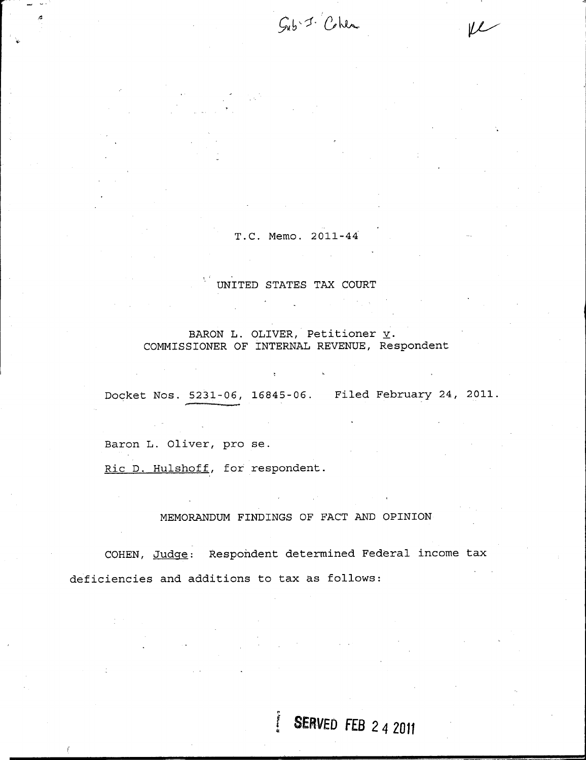$G_{ub}$  -  $1$   $Chu$ 

 $\overline{\nu}$ 

## T.C. Memo. 2011-44

## UNITED STATES TAX COURT

# BARON L. OLIVER, Petitioner  $\underline{v}$ . COMMISSIONER OF INTERNAL REVENUE, Respondent

 $\mathcal{H}$  .

Docket Nos. 5231-06, 16845-06. Filed February 24, 2011.

Baron L. Oliver, pro se.

Ric D. Hulshoff, for respondent.

## MEMORANDUM FINDINGS OF FACT AND OPINION

COHEN, Judge: Respondent determined Federal income tax deficiencies and additions to tax as follows:

 $\ddot{\phantom{a}}$ 

# **SERVED FEB 2 4 2011**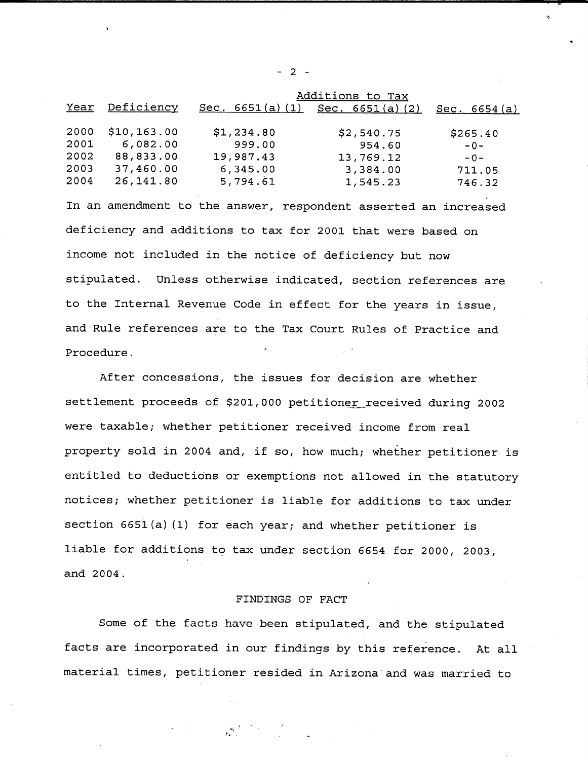|      |              | Additions to Tax  |                   |              |
|------|--------------|-------------------|-------------------|--------------|
| Year | Deficiency   | Sec. $6651(a)(1)$ | Sec. $6651(a)(2)$ | Sec. 6654(a) |
|      |              |                   |                   |              |
| 2000 | \$10, 163.00 | \$1,234.80        | \$2,540.75        | \$265.40     |
| 2001 | 6,082.00     | 999.00            | 954.60            | $-0-$        |
| 2002 | 88,833.00    | 19,987.43         | 13,769.12         | $-0-$        |
| 2003 | 37,460.00    | 6,345.00          | 3,384.00          | 711.05       |
| 2004 | 26,141.80    | 5,794.61          | 1,545.23          | 746.32       |

In an amendment to the answer, respondent asserted an increased deficiency and additions to tax for 2001 that were based on income not included in the notice of deficiency but now stipulated. Unless otherwise indicated, section references are to the Internal Revenue Code in effect for the years in issue, and-Rule references are to the Tax Court Rules of Practice and Procedure.

After concessions, the issues for decision are whether settlement proceeds of \$201,000 petitioner received during 2002 were taxable; whether petitioner received income from real property sold in <sup>2004</sup> and, if so, how much; whether petitioner is entitled to deductions or exemptions not allowed in the statutory notices; whether petitioner is liable for additions to tax under section 6651(a) (1) for each year; and whether petitioner is liable for additions to tax under section <sup>6654</sup> for 2000, 2003, and 2004.

### FINDINGS OF FACT

Some of the facts have been stipulated, and the stipulated facts are incorporated in our findings by this reference. At all material times, petitioner resided in Arizona and was married to

- 2 -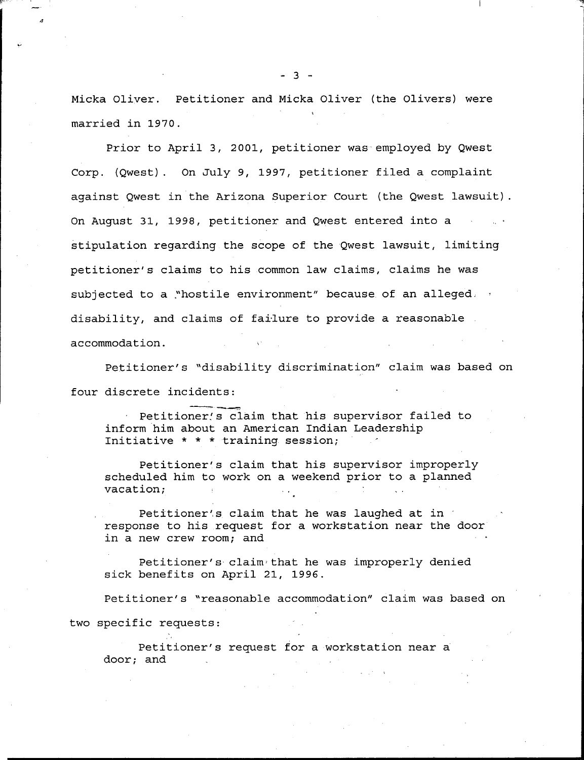Micka Oliver. Petitioner and Micka Oliver (the Olivers) were married in 1970.

Prior to April 3, 2001, petitioner was-employed by Qwest Corp. (Qwest). On July 9, 1997, petitioner filed <sup>a</sup> complaint against Qwest in the Arizona Superior Court (the Qwest lawsuit). On August 31, 1998, petitioner and Qwest entered into <sup>a</sup> stipulation regarding the scope of the Qwest lawsuit, limiting petitioner's claims to his common law claims, claims he was subjected to a "hostile environment" because of an alleged,  $\cdot$ disability, and claims of fai-lure to provide <sup>a</sup> reasonable accommodation.

Petitioner's "disability discrimination" claim was based on four discrete incidents:

Petitioner's claim that his supervisor failed to inform him about an American Indian Leadership Initiative \* \* \* training session;

Petitioner's claim that his supervisor improperly scheduled him to work on <sup>a</sup> weekend prior to <sup>a</sup> planned vacation;

Petitioner's claim that he was laughed at in response to his request for <sup>a</sup> workstation near the door in <sup>a</sup> new crew room; and

Petitioner's claim that he was improperly denied sick benefits on April 21, 1996.

Petitioner's "reasonable accommodation" claim was based on two specific requests:

Petitioner's request for <sup>a</sup> workstation near <sup>a</sup> door; and

 $- 3 -$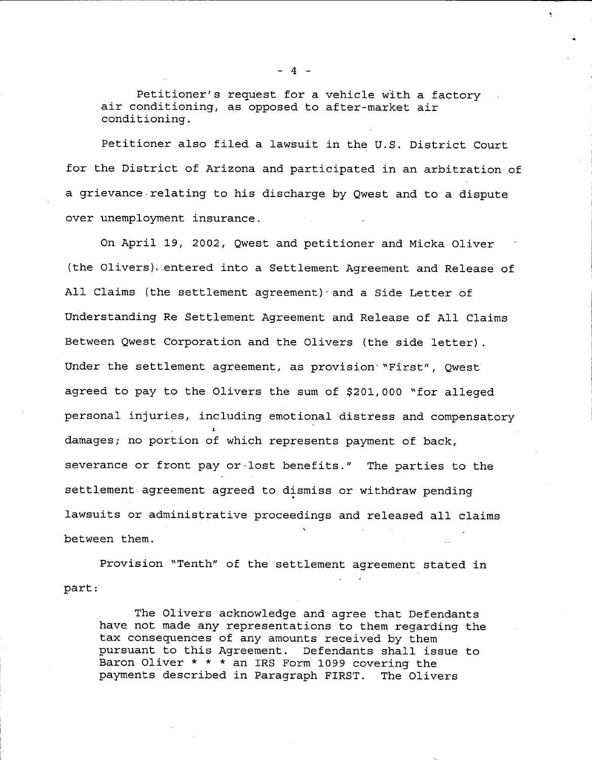Petitioner's request for <sup>a</sup> vehicle with <sup>a</sup> factory air conditioning, as opposed to after-market air conditioning.

Petitioner also filed.a lawsuit in the U.S. District Court for the District of Arizona and participated in an arbitration- of a grievance.relating to his discharge by Qwest and to <sup>a</sup> dispute over unemployment insurance.

On April 19, 2002, Qwest and petitioner and Micka Oliver (the Olivers). entered into a Settlement Agreement and Release of All Claims (the settlement agreement)·and <sup>a</sup> Side Letter of Understanding Re Settlement Agreement and Release of All Claims Between Qwest Corporation and the Olivers (the side letter). Under the settlement agreement, as provision "First", Qwest agreed to pay to the Olivers the sum of \$201,000 "for alleged personal injuries, including emotional distress and compensatory damages; no portion of which represents payment of back, severance or front pay or -lost benefits." The parties to the settlement agreement agreed to dismiss or withdraw pending lawsuits or administrative proceedings and released all claims between them.

Provision "Tenth" of the settlement agreement stated in part:

The Olivers acknowledge and agree that Defendants have not made any representations to them regarding the tax consequences of any amounts received by them pursuant to this Agreement. Defendants shall issue to Baron Oliver \* \* \* an IRS Form 1099 covering the payments described in Paragraph FIRST. The Olivers

- 4 -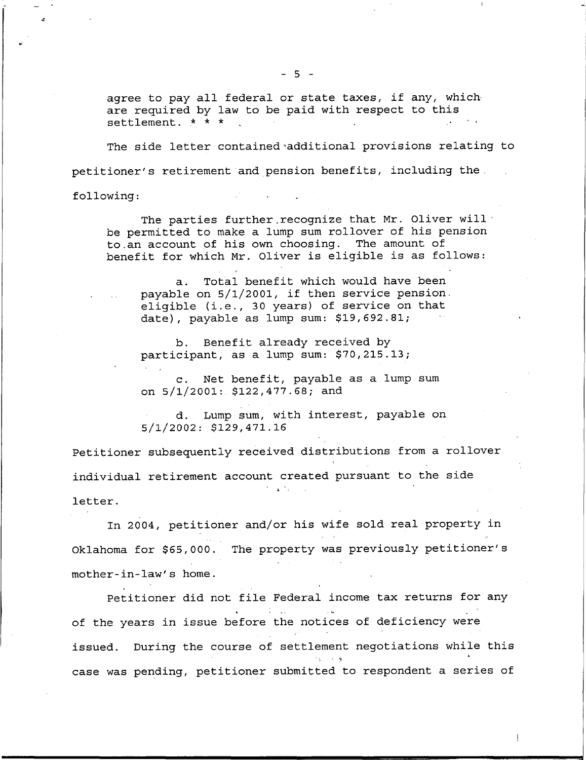agree to pay all federal or state taxes, if any, which. are required by law to be paid with respect to this settlement.  $* * * *$ 

The side letter contained-additional provisions relating to petitioner's retirement and pension benefits, including the.

following:

The parties further,recognize that Mr. Oliver will' be permitted to make <sup>a</sup> lump sum rollover of his pension to.an account of his own choosing. The amount of benefit for which Mr. Oliver is eligible is as follows:

a. Total benefit which would have been payable on 5/1/2001, if then service pension. eligible (i.e., <sup>30</sup> years) of service on that date), payable as lump sum: \$19,692.81;

b. Benefit already received by participant, as <sup>a</sup> lump sum: \$70,215.13;

c. Net benefit, payable as a lump sum on 5/1/2001:. \$122,477.68; and

d. Lump sum, with interest, payable on 5/1/2002: \$129,471.16

Petitioner subsequently received distributions from <sup>a</sup> rollover individual retirement account created pursuant to the side  $\mathcal{L}_\mathrm{c} = 80\,\mathrm{m}$ letter.

In 2004, petitioner and/or his wife sold real property in Oklahoma for \$65,000. The property was previously petitioner's mother-in-law's home.

Petitioner did not file Federal income tax returns for any of the years in issue before the notices of deficiency were issued. During the course of settlement negotiations while this case was pending, petitioner submitted to respondent <sup>a</sup> series of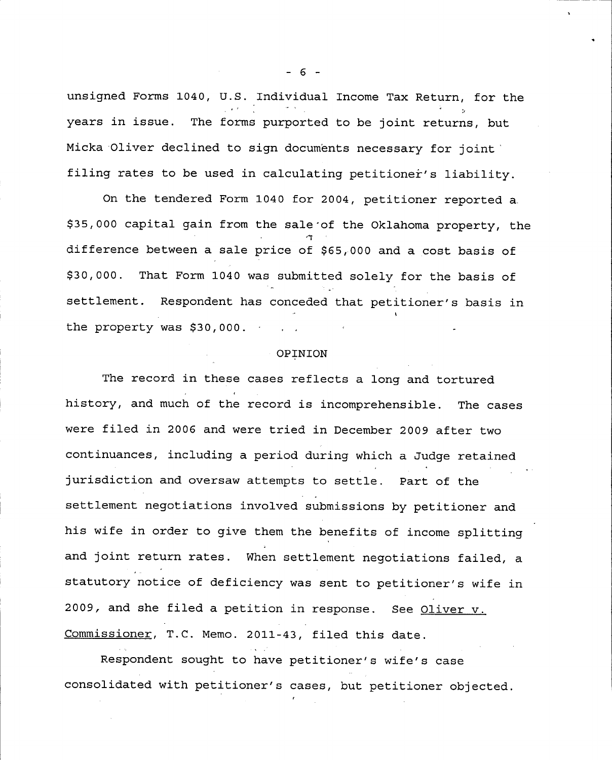unsigned Forms 1040, U.S. Individual Income Tax Return, for the years in issue. The forms purported to be joint returns, but Micka Oliver declined to sign documents necessary for joint filing rates to be used in calculating petitioner's liability.

On the tendered Form <sup>1040</sup> for 2004, petitioner reported a, \$35,000 capital gain from the sale of the Oklahoma property, the difference between a sale price of \$65,000 and a cost basis of \$30,000. That Form <sup>1040</sup> was submitted solely for the basis of settlement. Respondent has conceded that petitioner's basis in the property was \$30,000.

#### OPINION

The record in these cases reflects <sup>a</sup> long and tortured history, and much of the record is incomprehensible. The cases were filed in <sup>2006</sup> and were tried in December <sup>2009</sup> after two continuances, including a period during which a Judge retained jurisdiction and oversaw attempts to settle. Part of the settlement negotiations involved submissions by petitioner and his wife in order to give them the benefits of income splitting and joint return rates. When settlement negotiations failed, <sup>a</sup> statutory notice of deficiency was sent to petitioner's wife in 2009, and she filed a petition in response. See Oliver v. Commissioner, T.C. Memo. 2011-43, filed this date.

Respondent sought to have petitioner's wife's case consolidated with petitioner's cases, but petitioner objected.

- 6 -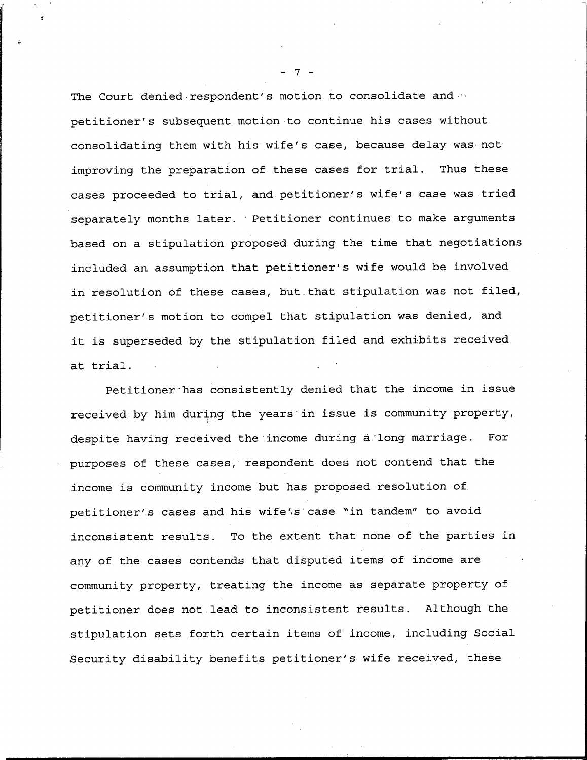The Court denied respondent's motion to consolidate and petitioner's subsequent.motion to continue his cases without consolidating them with his wife's case, because delay was- not improving the preparation of these cases for trial. Thus these cases proceeded to trial, and petitioner/s wife's case was tried separately months later. Petitioner continues to make arguments based on <sup>a</sup> stipulation proposed during the time that negotiations included an assumption that petitioner's wife would be involved in resolution of these cases, but-that stipulation was not filed, petitioner's motion to compel that stipulation was denied, and it is superseded by the stipulation filed and exhibits received at trial.

Petitioner~has consistently denied that the income in issue received by him during the years in issue is community property, despite having received the income during a long marriage. For purposes of these cases, respondent does not contend that the income is community income but has proposed resolution of petitioner's cases and his wife',s case "in tandem" to avoid inconsistent results. To the extent that none of the parties in any of the cases contends that disputed items of income are community property, treating the income as separate property of petitioner does not lead to inconsistent results. Although the stipulation sets forth certain items of income, including Social Security disability benefits petitioner's wife received, these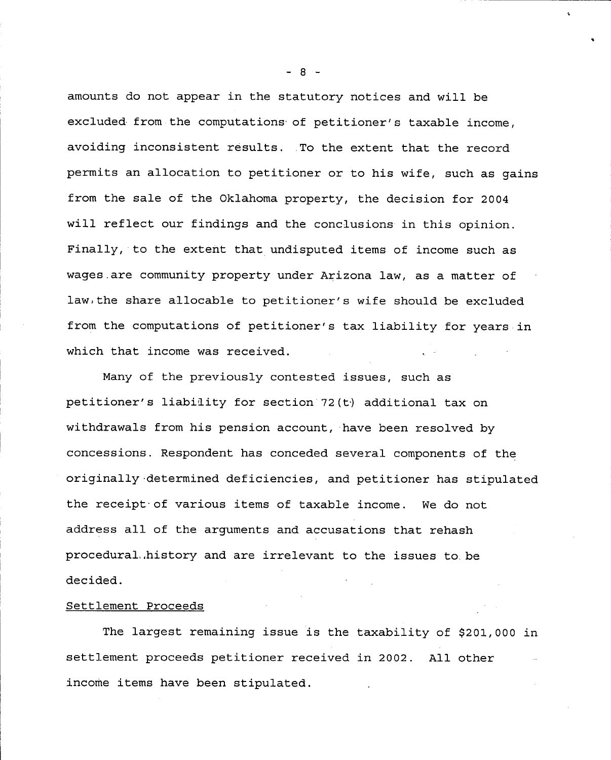amounts do not appear in the statutory notices and will be excluded from the computations of petitioner's taxable income, avoiding inconsistent results. .To the extent that the record permits an allocation to petitioner or to his wife, such as gains from the sale of the Oklahoma property, the decision for <sup>2004</sup> will reflect our findings and the conclusions in this opinion. Finally, to the extent that undisputed items of income such as wages.are community property under Arizona law, as a matter of law,the share allocable to petitioner's wife should be excluded from the computations of petitioner's tax liability for years in which that income was received.

Many of the previously contested issues, such as petitioner's liability for section 72(t) additional tax on withdrawals from his pension account, have been resolved by concessions. Respondent has conceded several components of the originally -determined deficiencies, and petitioner has stipulated the receipt-of various items of taxable income. We do not address all of the arguments and accusations that rehash procedural.,history and are irrelevant to the issues to, be decided.

#### Settlement Proceeds

The largest remaining issue is the taxability of \$201,000 in settlement proceeds petitioner received in 2002. All other income items have been stipulated.

 $\mathbf{R}$  -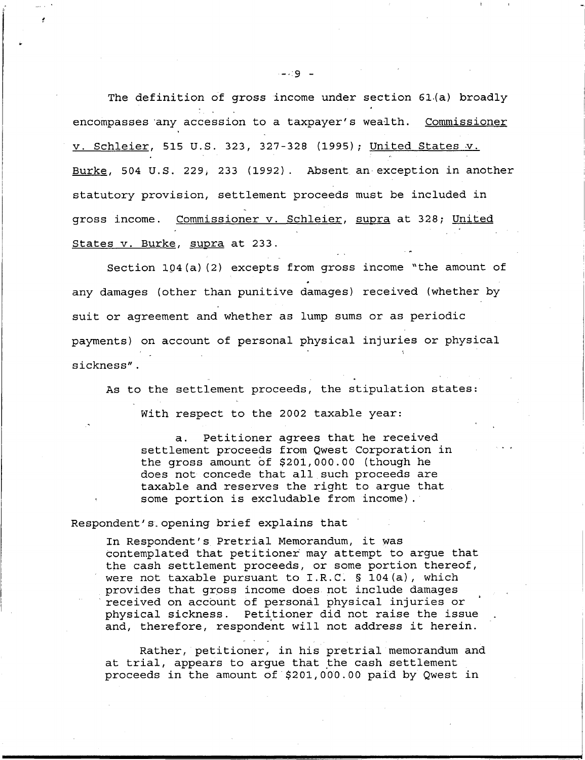The definition of gross income under section 61.(a) broadly encompasses any accession to a taxpayer's wealth. Commissioner v. Schleier, 515 U.S. 323, 327-328 (1995); United States v. Burke, 504 U.S. 229, 233 (1992). Absent an exception in another statutory provision, settlement proceeds must be included in gross income. Commissioner v. Schleier, supra at 328; United States v. Burke, supra at 233.

Section 104(a) (2) excepts from gross income "the amount of any damages (other than punitive damages) received (whether by suit or agreement and whether as lump sums or as periodic payments) on account of personal physical injuries or physical sickness".

As to the settlement proceeds, the stipulation states:

With respect to the 2002 taxable year:

a. Petitioner agrees that he received settlement proceeds from Qwest Corporation in the gross amount of \$201,000.00 (though he does not concede that all such proceeds are taxable and reserves the right to argue that some portion is excludable from income).

#### Respondent's opening brief explains that

In Respondent's Pretrial Memorandum, it was contemplated that petitioner may attempt to argue that the cash settlement proceeds, or some portion thereof, were not taxable pursuant to I.R.C. § 104(a), which provides that gross income does not include damages received on account of personal physical injuries or ' physical sickness. Petitioner did not raise the issue and, therefore, respondent will not address it herein.

Rather, petitioner, in his pretrial memorandum and at trial, appears to argue that the cash settlement proceeds in the amount of \$201,000.00 paid by Qwest in

 $-19 -$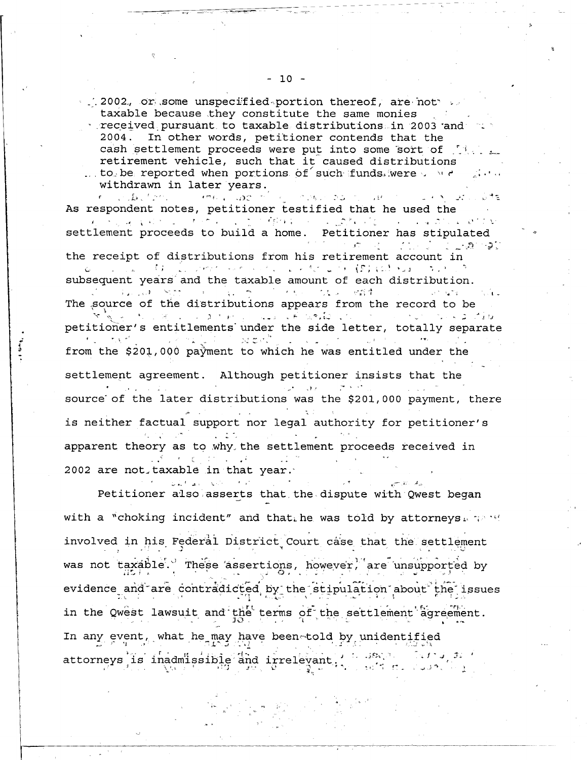2002. or some unspecified portion thereof, are not taxable because they constitute the same monies received pursuant to taxable distributions in 2003 and  $\sim$ 2004. In other words, petitioner contends that the cash settlement proceeds were put into some sort of  $\mathbb{N}\setminus\mathbb{N}$ retirement vehicle, such that it caused distributions ... to be reported when portions of such funds were a were

withdrawn in later years.<br>A state from the spot of the state and the state of the state of the state of the state of the state of the sta As respondent notes, petitioner testified that he used the settlement proceeds to build <sup>a</sup> home. Petitioner has stipulated the receipt of distributions from his retirement account in subsequent years and the taxable amount of each distribution.<br>And the taxable amount of each distribution. The source of the distributions appears from the record to be petitioner's entitlements under the side letter, totally separate<br> $\frac{1}{2}$  is the side letter, totally separate from the \$201,000 payment to which he was entitled under the settlement agreement. Although petitioner insists that the source' of the later distributions was the \$201, <sup>000</sup> payment, there is neither factual support nor legal authority for petitioner's apparent theory as to why, the settlement proceeds received in  $\sim 100$  km s  $^{-1}$ 2002 are not-taxable in that year.

Petitioner also asserts that the dispute with Qwest began with a "choking incident" and that he was told by attorneys  $\mathbb{R}^n$  if involved in his Federal District Court case that the settlement was not taxáble. These assertions, however, are unsupported by evidence and are contradicted by the stipulation about the issues in the Qwest lawsuit and the terms of the settlement agreement. In any event, what he may have beenetold by unidentified attorneys is inadmissible and irrelevant  $\frac{1}{3}$  is  $\frac{1}{3}$  if  $\frac{1}{3}$ ್ಲೇಕ್ ವು. ದೇಖಗ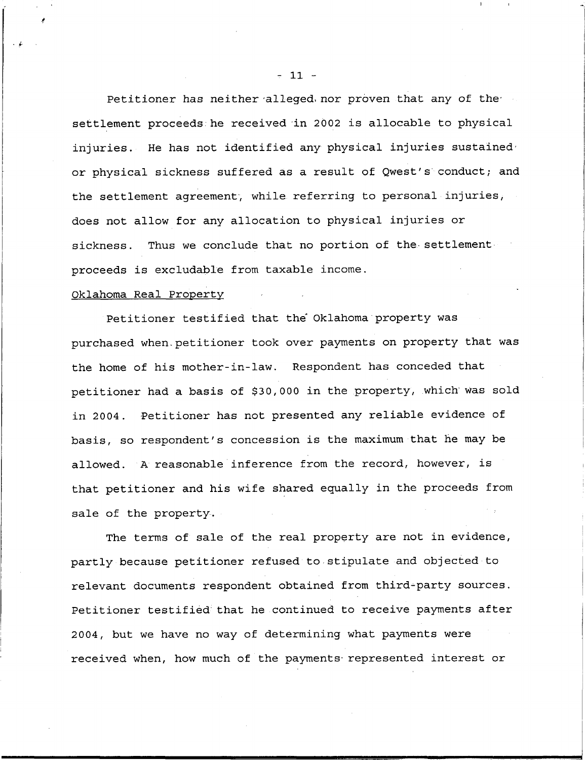Petitioner has neither alleged nor proven that any of the settlement proceeds he received in 2002 is allocable to physical injuries. He has not identified any physical injuries sustained or physical sickness suffered as <sup>a</sup> result of Qwest's conduct; and the settlement agreement, while referring to personal injuries, does not allow for any allocation to physical injuries or sickness. Thus we conclude that no portion of the settlement proceeds is excludable from taxable income.

#### Oklahoma Real Property

Petitioner testified that the' Oklahoma property was purchased when-petitioner took over payments on property that was the home of his mother-in-law. Respondent has conceded that petitioner had a basis of \$30,000 in the property, which was sold in 2004. Petitioner has not presented any reliable evidence of basis, so respondent's concession is the maximum that he may be allowed. <sup>A</sup> reasonable inference from the record, however, is that petitioner and his wife shared equally in the proceeds from sale of the property.

The terms of sale of the real property are not in evidence, partly because petitioner refused to stipulate and objected to relevant documents respondent obtained from third-party sources. Petitioner testifièd that he continued to receive payments after 2004, but we have no way of determining what payments were received when, how much of the payments represented interest or

- 11 -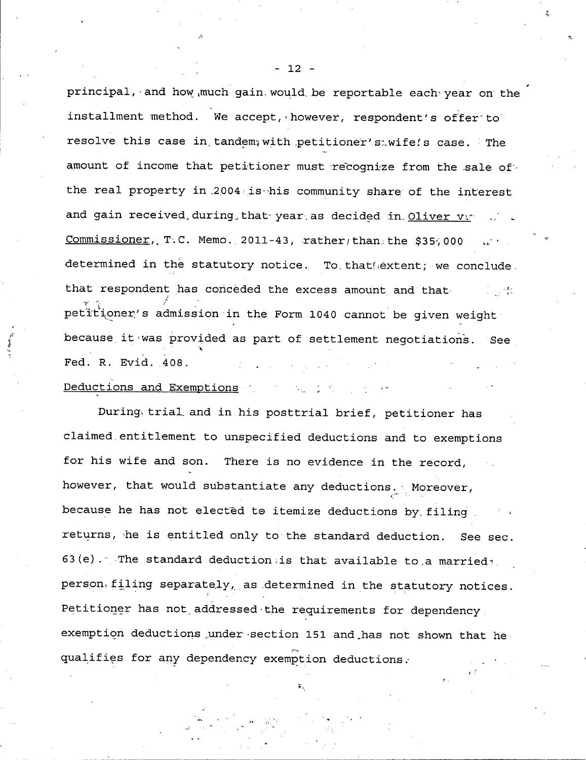principal, and how much gain would be reportable each year on the installment method. We accept, however, respondent's offer to resolve this case in tandem, with petitioner's wife's case. The amount of income that petitioner must recognize from the sale of the real property in 2004 is his community share of the interest and gain received during that year as decided in Oliver vy  $Commissioner, T.C. Memo.2011-43, rather than the $35,000$ determined in the statutory notice. To that extent; we conclude, that respondent has conceded the excess amount and that.  $\mathcal{L} = \{ \mathcal{L} \}$ petitioner's admission in the Form 1040 cannot be given weight because it was provided as part of settlement negotiation's. See Fed. R. Evid. 408. Deductions and Exemptions (2008) and the contract of the contract of the contract of the contract of the contract of the contract of the contract of the contract of the contract of the contract of the contract of the contr

During, trial.and in his posttrial brief, petitioner has claimed.entitlement to unspecified deductions and to exemptions for his wife and son. There is no evidence in the record, however, that would substantiate any deductions. Moreover, because he has not elected to itemize deductions by filing. returns, he is entitled only to the standard deduction. See sec. 63(e). The standard deduction; is that available to a married  $_1$ person, filing separately, as determined in the statutory notices. Petitioner has not addressed the requirements for dependency. exemption deductions under section 151 and has not shown that he qualifies for any dependency exemption deductions.

 $- 12 -$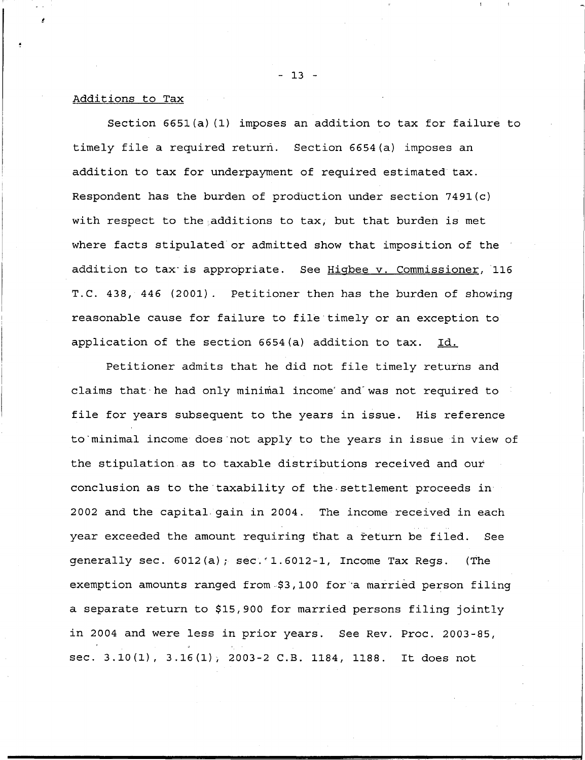#### Additions to Tax

Section 6651(a) (1) imposes an addition to tax for failure to timely file <sup>a</sup> required return. Section 6654(a) imposes an addition to tax for underpayment of required estimated tax. Respondent has the burden of production under section 7491(c) with respect to the additions to tax, but that burden is met where facts stipulated or admitted show that imposition of the addition to tax-is appropriate. See Higbee v. Commissioner, <sup>116</sup> T.C. 438, 446 (2001). Petitioner then has the burden of showing reasonable cause for failure to file timely or an exception to application of the section 6654(a) addition to tax. Id.

Petitioner admits that he did not file timely returns and claims that-he had only minimal income' and'was not required to file for years subsequent to the years in issue. His reference to'minimal income does'not apply to the years in issue in view of the stipulation as to taxable distributions received and our conclusion as to the taxability of the settlement proceeds in 2002 and the capital.gain in 2004. The income received in each year exceeded the amount requiring that <sup>a</sup> žeturn be filed. See generally sec. 6012(a); sec.'1.6012-1, Income Tax Regs. (The exemption amounts ranged from-\$3,100 for <sup>a</sup> married person filing <sup>a</sup> separate return to \$15,900 for married persons filing jointly in <sup>2004</sup> and were less in prior years. See Rev. Proc. 2003-85, sec. 3.10(1), 3.16(1), 2003-2 C.B. 1184, 1188. It does not

- 13 -